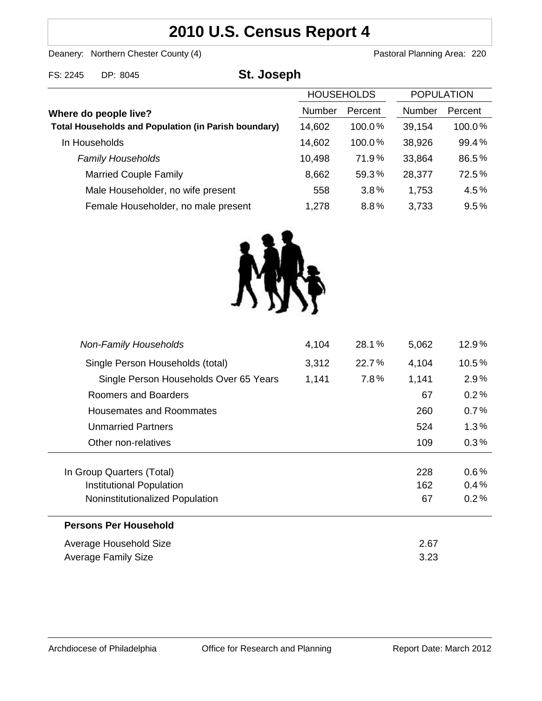# **2010 U.S. Census Report 4**

Deanery: Northern Chester County (4) Deanery: Northern Chester County (4)

| FS: 2245                                                                             | St. Joseph<br>DP: 8045              |               |                   |               |                   |  |
|--------------------------------------------------------------------------------------|-------------------------------------|---------------|-------------------|---------------|-------------------|--|
|                                                                                      |                                     |               | <b>HOUSEHOLDS</b> |               | <b>POPULATION</b> |  |
| Where do people live?<br><b>Total Households and Population (in Parish boundary)</b> |                                     | <b>Number</b> | Percent           | <b>Number</b> | Percent           |  |
|                                                                                      |                                     | 14,602        | $100.0\%$         | 39,154        | 100.0%            |  |
|                                                                                      | In Households                       | 14,602        | 100.0%            | 38,926        | 99.4%             |  |
|                                                                                      | <b>Family Households</b>            | 10,498        | 71.9%             | 33,864        | 86.5%             |  |
|                                                                                      | <b>Married Couple Family</b>        | 8,662         | 59.3%             | 28,377        | 72.5%             |  |
|                                                                                      | Male Householder, no wife present   | 558           | 3.8%              | 1,753         | 4.5%              |  |
|                                                                                      | Female Householder, no male present | 1,278         | 8.8%              | 3.733         | 9.5%              |  |



| <b>Non-Family Households</b>           | 4,104 | 28.1% | 5,062 | 12.9%    |
|----------------------------------------|-------|-------|-------|----------|
| Single Person Households (total)       | 3,312 | 22.7% | 4,104 | $10.5\%$ |
| Single Person Households Over 65 Years | 1,141 | 7.8%  | 1,141 | 2.9%     |
| Roomers and Boarders                   |       |       | 67    | 0.2%     |
| Housemates and Roommates               |       |       | 260   | 0.7%     |
| <b>Unmarried Partners</b>              |       |       | 524   | 1.3%     |
| Other non-relatives                    |       |       | 109   | $0.3\%$  |
|                                        |       |       |       |          |
| In Group Quarters (Total)              |       |       | 228   | 0.6%     |
| Institutional Population               |       |       | 162   | 0.4%     |
| Noninstitutionalized Population        |       |       | 67    | 0.2%     |
| <b>Persons Per Household</b>           |       |       |       |          |
| Average Household Size                 |       |       | 2.67  |          |
| Average Family Size                    |       |       | 3.23  |          |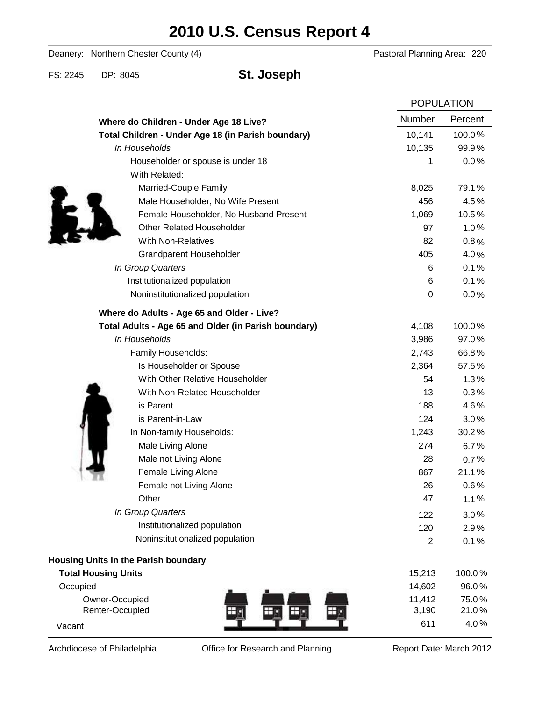# **2010 U.S. Census Report 4**

Deanery: Northern Chester County (4) Deanery: Northern Chester County (4)

FS: 2245 DP: 8045 **St. Joseph**

|                                                      | <b>POPULATION</b> |                |
|------------------------------------------------------|-------------------|----------------|
| Where do Children - Under Age 18 Live?               | Number            | Percent        |
| Total Children - Under Age 18 (in Parish boundary)   | 10,141            | 100.0%         |
| In Households                                        | 10,135            | 99.9%          |
| Householder or spouse is under 18                    | 1                 | 0.0%           |
| With Related:                                        |                   |                |
| Married-Couple Family                                | 8,025             | 79.1%          |
| Male Householder, No Wife Present                    | 456               | 4.5%           |
| Female Householder, No Husband Present               | 1,069             | 10.5%          |
| <b>Other Related Householder</b>                     | 97                | 1.0%           |
| <b>With Non-Relatives</b>                            | 82                | 0.8%           |
| <b>Grandparent Householder</b>                       | 405               | 4.0%           |
| In Group Quarters                                    | 6                 | 0.1%           |
| Institutionalized population                         | 6                 | 0.1%           |
| Noninstitutionalized population                      | 0                 | 0.0%           |
| Where do Adults - Age 65 and Older - Live?           |                   |                |
| Total Adults - Age 65 and Older (in Parish boundary) | 4,108             | 100.0%         |
| In Households                                        | 3,986             | 97.0%          |
| Family Households:                                   | 2,743             | 66.8%          |
| Is Householder or Spouse                             | 2,364             | 57.5%          |
| With Other Relative Householder                      | 54                | 1.3%           |
| With Non-Related Householder                         | 13                | 0.3%           |
| is Parent                                            | 188               | 4.6%           |
| is Parent-in-Law                                     | 124               | 3.0%           |
| In Non-family Households:                            | 1,243             | 30.2%          |
| Male Living Alone                                    | 274               | 6.7%           |
| Male not Living Alone                                | 28                | 0.7%           |
| Female Living Alone                                  | 867               | 21.1%          |
| Female not Living Alone                              | 26                | 0.6%           |
| Other                                                | 47                | 1.1%           |
| In Group Quarters                                    | 122               | 3.0%           |
| Institutionalized population                         | 120               | 2.9%           |
| Noninstitutionalized population                      | $\overline{2}$    | 0.1%           |
| Housing Units in the Parish boundary                 |                   |                |
| <b>Total Housing Units</b>                           | 15,213            | 100.0%         |
| Occupied                                             | 14,602            | 96.0%          |
| Owner-Occupied<br>Renter-Occupied                    | 11,412<br>3,190   | 75.0%<br>21.0% |
| Vacant                                               | 611               | 4.0%           |

Archdiocese of Philadelphia **Office for Research and Planning** Report Date: March 2012